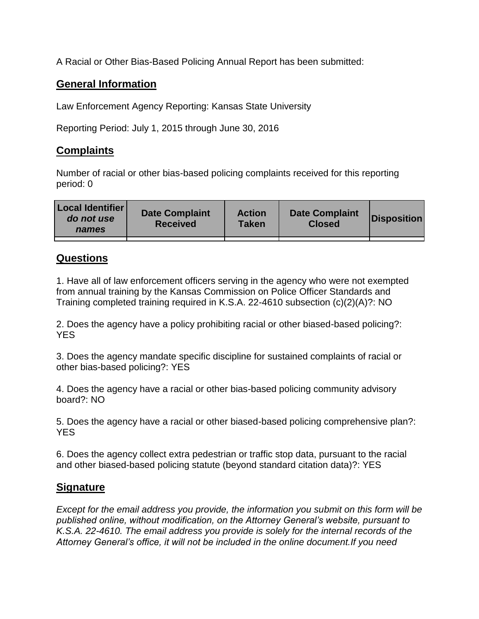A Racial or Other Bias-Based Policing Annual Report has been submitted:

## **General Information**

Law Enforcement Agency Reporting: Kansas State University

Reporting Period: July 1, 2015 through June 30, 2016

## **Complaints**

Number of racial or other bias-based policing complaints received for this reporting period: 0

| <b>Local Identifier</b><br>do not use<br>names | <b>Date Complaint</b><br><b>Received</b> | <b>Action</b><br><b>Taken</b> | <b>Date Complaint</b><br><b>Closed</b> | Disposition |
|------------------------------------------------|------------------------------------------|-------------------------------|----------------------------------------|-------------|
|                                                |                                          |                               |                                        |             |

## **Questions**

1. Have all of law enforcement officers serving in the agency who were not exempted from annual training by the Kansas Commission on Police Officer Standards and Training completed training required in K.S.A. 22-4610 subsection (c)(2)(A)?: NO

2. Does the agency have a policy prohibiting racial or other biased-based policing?: YES

3. Does the agency mandate specific discipline for sustained complaints of racial or other bias-based policing?: YES

4. Does the agency have a racial or other bias-based policing community advisory board?: NO

5. Does the agency have a racial or other biased-based policing comprehensive plan?: YES

6. Does the agency collect extra pedestrian or traffic stop data, pursuant to the racial and other biased-based policing statute (beyond standard citation data)?: YES

## **Signature**

*Except for the email address you provide, the information you submit on this form will be published online, without modification, on the Attorney General's website, pursuant to K.S.A. 22-4610. The email address you provide is solely for the internal records of the Attorney General's office, it will not be included in the online document.If you need*